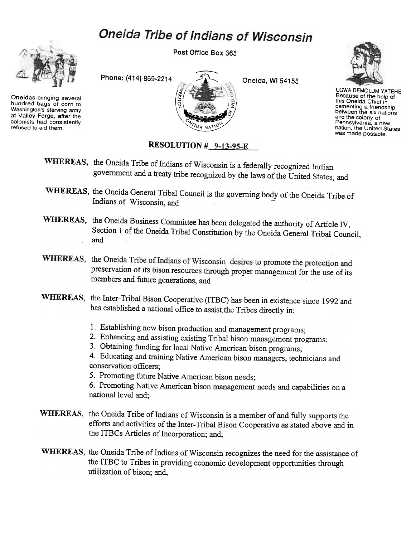## Oneida Tribe of Indians of Wisconsin



Oneidas bringing several hundred bags of corn to Washington's starving army at Valley Forge, after the colonists had consistently refused to aid them.

Post Office Box 365





UGWA DEMOLUM YATEHE Because of the help of this Oneida Chief in cementing a friendship between the six nations and the colony of Pennsylvania, a new nation, the United States was made possible.

## RESOLUTION # 9-13-95-E

- WHEREAS, the Oneida Tribe of Indians of Wisconsin is a federally recognized Indian government and a treaty tribe recognized by the laws of the United States, and
- WHEREAS, the Oneida General Tribal Council is the governing body of the Oneida Tribe of Indians of Wisconsin, and
- WHEREAS, the Oneida Business Committee has been delegated the authority of Article IV, Section 1 of the Oneida Tribal Constitution by the Oneida General Tribal Council, and
- WHEREAS, the Oneida Tribe of Indians of Wisconsin desires to promote the protection and preservation of its bison resources through proper management for the use of its members and future generations, and
- WHEREAS, the Inter-Tribal Bison Cooperative (ITBC) has been in existence since 1992 and has established a national office to assist the Tribes directly in:
	- 1. Establishing new bison production and management programs;
	- 2. Enhancing and assisting existing Tribal bison management programs;
	- 3. Obtaining funding for local Native American bison programs;

4. Educating and training Native American bison managers, technicians and conservation officers;

5. Promoting future Native American bison needs;

6. Promoting Native American bison management needs and capabilities on a national level and;

- WHEREAS, the Oneida Tribe of Indians of Wisconsin is a member of and fully supports the efforts and activities of the Inter-Tribal Bison Cooperative as stated above and in the ITBCs Articles of Incorporation; and,
- WHEREAS, the Oneida Tribe of Indians of Wisconsin recognizes the need for the assistance of the ITBC to Tribes in providing economic development opportunities through utilization of bison; and,